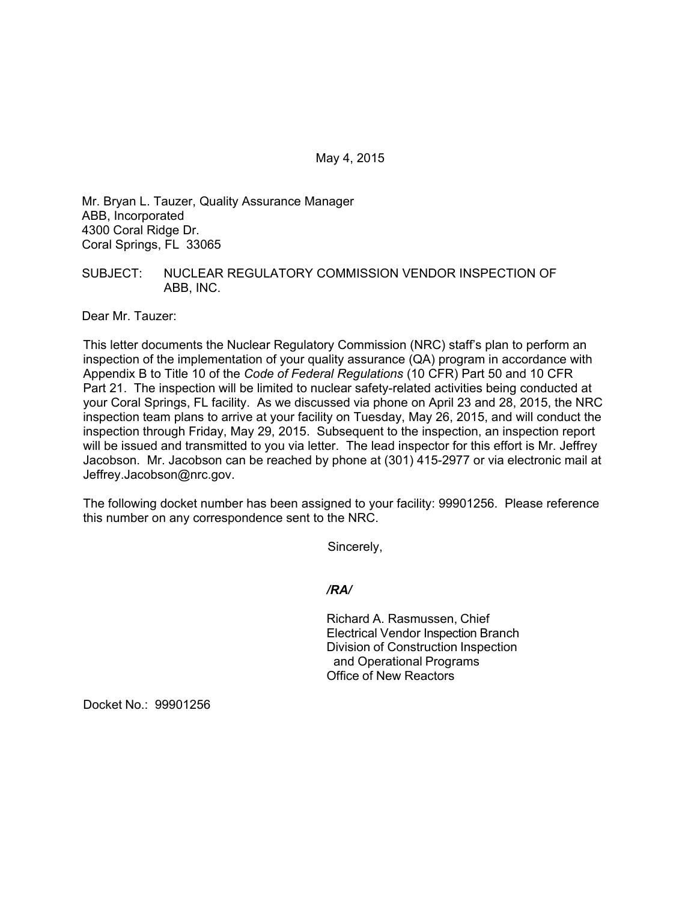May 4, 2015

Mr. Bryan L. Tauzer, Quality Assurance Manager ABB, Incorporated 4300 Coral Ridge Dr. Coral Springs, FL 33065

## SUBJECT: NUCLEAR REGULATORY COMMISSION VENDOR INSPECTION OF ABB, INC.

Dear Mr. Tauzer:

This letter documents the Nuclear Regulatory Commission (NRC) staff's plan to perform an inspection of the implementation of your quality assurance (QA) program in accordance with Appendix B to Title 10 of the *Code of Federal Regulations* (10 CFR) Part 50 and 10 CFR Part 21. The inspection will be limited to nuclear safety-related activities being conducted at your Coral Springs, FL facility. As we discussed via phone on April 23 and 28, 2015, the NRC inspection team plans to arrive at your facility on Tuesday, May 26, 2015, and will conduct the inspection through Friday, May 29, 2015. Subsequent to the inspection, an inspection report will be issued and transmitted to you via letter. The lead inspector for this effort is Mr. Jeffrey Jacobson. Mr. Jacobson can be reached by phone at (301) 415-2977 or via electronic mail at Jeffrey.Jacobson@nrc.gov.

The following docket number has been assigned to your facility: 99901256. Please reference this number on any correspondence sent to the NRC.

Sincerely,

*/RA/* 

Richard A. Rasmussen, Chief Electrical Vendor Inspection Branch Division of Construction Inspection and Operational Programs Office of New Reactors

Docket No.: 99901256